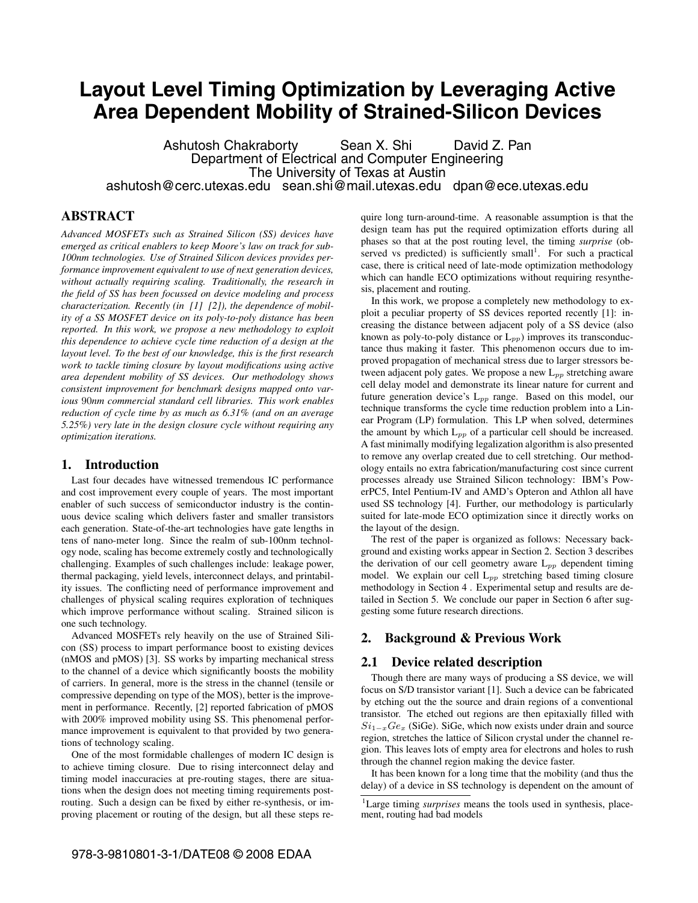# **Layout Level Timing Optimization by Leveraging Active Area Dependent Mobility of Strained-Silicon Devices**

Ashutosh Chakraborty Sean X. Shi David Z. Pan Department of Electrical and Computer Engineering The University of Texas at Austin ashutosh@cerc.utexas.edu sean.shi@mail.utexas.edu dpan@ece.utexas.edu

# **ABSTRACT**

*Advanced MOSFETs such as Strained Silicon (SS) devices have emerged as critical enablers to keep Moore's law on track for sub-100nm technologies. Use of Strained Silicon devices provides performance improvement equivalent to use of next generation devices, without actually requiring scaling. Traditionally, the research in the field of SS has been focussed on device modeling and process characterization. Recently (in [1] [2]), the dependence of mobility of a SS MOSFET device on its poly-to-poly distance has been reported. In this work, we propose a new methodology to exploit this dependence to achieve cycle time reduction of a design at the layout level. To the best of our knowledge, this is the first research work to tackle timing closure by layout modifications using active area dependent mobility of SS devices. Our methodology shows consistent improvement for benchmark designs mapped onto various* 90*nm commercial standard cell libraries. This work enables reduction of cycle time by as much as 6.31% (and on an average 5.25%) very late in the design closure cycle without requiring any optimization iterations.*

#### **1. Introduction**

Last four decades have witnessed tremendous IC performance and cost improvement every couple of years. The most important enabler of such success of semiconductor industry is the continuous device scaling which delivers faster and smaller transistors each generation. State-of-the-art technologies have gate lengths in tens of nano-meter long. Since the realm of sub-100nm technology node, scaling has become extremely costly and technologically challenging. Examples of such challenges include: leakage power, thermal packaging, yield levels, interconnect delays, and printability issues. The conflicting need of performance improvement and challenges of physical scaling requires exploration of techniques which improve performance without scaling. Strained silicon is one such technology.

Advanced MOSFETs rely heavily on the use of Strained Silicon (SS) process to impart performance boost to existing devices (nMOS and pMOS) [3]. SS works by imparting mechanical stress to the channel of a device which significantly boosts the mobility of carriers. In general, more is the stress in the channel (tensile or compressive depending on type of the MOS), better is the improvement in performance. Recently, [2] reported fabrication of pMOS with 200% improved mobility using SS. This phenomenal performance improvement is equivalent to that provided by two generations of technology scaling.

One of the most formidable challenges of modern IC design is to achieve timing closure. Due to rising interconnect delay and timing model inaccuracies at pre-routing stages, there are situations when the design does not meeting timing requirements postrouting. Such a design can be fixed by either re-synthesis, or improving placement or routing of the design, but all these steps require long turn-around-time. A reasonable assumption is that the design team has put the required optimization efforts during all phases so that at the post routing level, the timing *surprise* (observed vs predicted) is sufficiently small<sup>1</sup>. For such a practical case, there is critical need of late-mode optimization methodology which can handle ECO optimizations without requiring resynthesis, placement and routing.

In this work, we propose a completely new methodology to exploit a peculiar property of SS devices reported recently [1]: increasing the distance between adjacent poly of a SS device (also known as poly-to-poly distance or  $L_{pp}$ ) improves its transconductance thus making it faster. This phenomenon occurs due to improved propagation of mechanical stress due to larger stressors between adjacent poly gates. We propose a new L*pp* stretching aware cell delay model and demonstrate its linear nature for current and future generation device's L*pp* range. Based on this model, our technique transforms the cycle time reduction problem into a Linear Program (LP) formulation. This LP when solved, determines the amount by which L*pp* of a particular cell should be increased. A fast minimally modifying legalization algorithm is also presented to remove any overlap created due to cell stretching. Our methodology entails no extra fabrication/manufacturing cost since current processes already use Strained Silicon technology: IBM's PowerPC5, Intel Pentium-IV and AMD's Opteron and Athlon all have used SS technology [4]. Further, our methodology is particularly suited for late-mode ECO optimization since it directly works on the layout of the design.

The rest of the paper is organized as follows: Necessary background and existing works appear in Section 2. Section 3 describes the derivation of our cell geometry aware L*pp* dependent timing model. We explain our cell L*pp* stretching based timing closure methodology in Section 4 . Experimental setup and results are detailed in Section 5. We conclude our paper in Section 6 after suggesting some future research directions.

## **2. Background & Previous Work**

## **2.1 Device related description**

Though there are many ways of producing a SS device, we will focus on S/D transistor variant [1]. Such a device can be fabricated by etching out the the source and drain regions of a conventional transistor. The etched out regions are then epitaxially filled with *Si*<sup>1</sup>−*xGex* (SiGe). SiGe, which now exists under drain and source region, stretches the lattice of Silicon crystal under the channel region. This leaves lots of empty area for electrons and holes to rush through the channel region making the device faster.

It has been known for a long time that the mobility (and thus the delay) of a device in SS technology is dependent on the amount of

<sup>&</sup>lt;sup>1</sup>Large timing *surprises* means the tools used in synthesis, placement, routing had bad models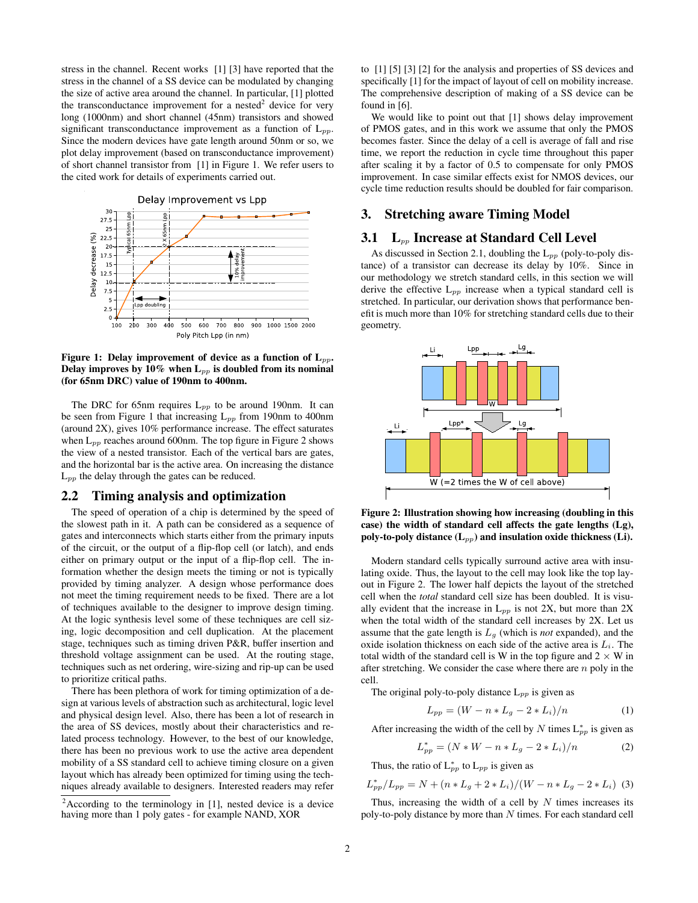stress in the channel. Recent works [1] [3] have reported that the stress in the channel of a SS device can be modulated by changing the size of active area around the channel. In particular, [1] plotted the transconductance improvement for a nested<sup>2</sup> device for very long (1000nm) and short channel (45nm) transistors and showed significant transconductance improvement as a function of L*pp*. Since the modern devices have gate length around 50nm or so, we plot delay improvement (based on transconductance improvement) of short channel transistor from [1] in Figure 1. We refer users to the cited work for details of experiments carried out.



**Figure 1: Delay improvement of device as a function of L***pp***. Delay improves by 10% when L***pp* **is doubled from its nominal (for 65nm DRC) value of 190nm to 400nm.**

The DRC for 65nm requires L*pp* to be around 190nm. It can be seen from Figure 1 that increasing L*pp* from 190nm to 400nm (around 2X), gives 10% performance increase. The effect saturates when  $L_{pp}$  reaches around 600nm. The top figure in Figure 2 shows the view of a nested transistor. Each of the vertical bars are gates, and the horizontal bar is the active area. On increasing the distance L<sub>pp</sub> the delay through the gates can be reduced.

#### **2.2 Timing analysis and optimization**

The speed of operation of a chip is determined by the speed of the slowest path in it. A path can be considered as a sequence of gates and interconnects which starts either from the primary inputs of the circuit, or the output of a flip-flop cell (or latch), and ends either on primary output or the input of a flip-flop cell. The information whether the design meets the timing or not is typically provided by timing analyzer. A design whose performance does not meet the timing requirement needs to be fixed. There are a lot of techniques available to the designer to improve design timing. At the logic synthesis level some of these techniques are cell sizing, logic decomposition and cell duplication. At the placement stage, techniques such as timing driven P&R, buffer insertion and threshold voltage assignment can be used. At the routing stage, techniques such as net ordering, wire-sizing and rip-up can be used to prioritize critical paths.

There has been plethora of work for timing optimization of a design at various levels of abstraction such as architectural, logic level and physical design level. Also, there has been a lot of research in the area of SS devices, mostly about their characteristics and related process technology. However, to the best of our knowledge, there has been no previous work to use the active area dependent mobility of a SS standard cell to achieve timing closure on a given layout which has already been optimized for timing using the techniques already available to designers. Interested readers may refer

to [1] [5] [3] [2] for the analysis and properties of SS devices and specifically [1] for the impact of layout of cell on mobility increase. The comprehensive description of making of a SS device can be found in [6].

We would like to point out that [1] shows delay improvement of PMOS gates, and in this work we assume that only the PMOS becomes faster. Since the delay of a cell is average of fall and rise time, we report the reduction in cycle time throughout this paper after scaling it by a factor of 0.5 to compensate for only PMOS improvement. In case similar effects exist for NMOS devices, our cycle time reduction results should be doubled for fair comparison.

## **3. Stretching aware Timing Model**

## **3.1 L***pp* **Increase at Standard Cell Level**

As discussed in Section 2.1, doubling the L*pp* (poly-to-poly distance) of a transistor can decrease its delay by 10%. Since in our methodology we stretch standard cells, in this section we will derive the effective L*pp* increase when a typical standard cell is stretched. In particular, our derivation shows that performance benefit is much more than 10% for stretching standard cells due to their geometry.



**Figure 2: Illustration showing how increasing (doubling in this case) the width of standard cell affects the gate lengths (Lg), poly-to-poly distance (L***pp***) and insulation oxide thickness (Li).**

Modern standard cells typically surround active area with insulating oxide. Thus, the layout to the cell may look like the top layout in Figure 2. The lower half depicts the layout of the stretched cell when the *total* standard cell size has been doubled. It is visually evident that the increase in L*pp* is not 2X, but more than 2X when the total width of the standard cell increases by 2X. Let us assume that the gate length is *<sup>L</sup>g* (which is *not* expanded), and the oxide isolation thickness on each side of the active area is *<sup>L</sup>i*. The total width of the standard cell is W in the top figure and  $2 \times W$  in after stretching. We consider the case where there are *n* poly in the cell.

The original poly-to-poly distance  $L_{pp}$  is given as

$$
L_{pp} = (W - n * L_g - 2 * L_i)/n
$$
 (1)

After increasing the width of the cell by *N* times  $L_{pp}^*$  is given as

$$
L_{pp}^* = (N * W - n * L_g - 2 * L_i)/n
$$
 (2)

Thus, the ratio of  $L_{pp}^{*}$  to  $L_{pp}$  is given as

$$
L_{pp}^*/L_{pp} = N + (n * L_g + 2 * L_i)/(W - n * L_g - 2 * L_i)
$$
 (3)

Thus, increasing the width of a cell by *N* times increases its poly-to-poly distance by more than *N* times. For each standard cell

 $2$ According to the terminology in [1], nested device is a device having more than 1 poly gates - for example NAND, XOR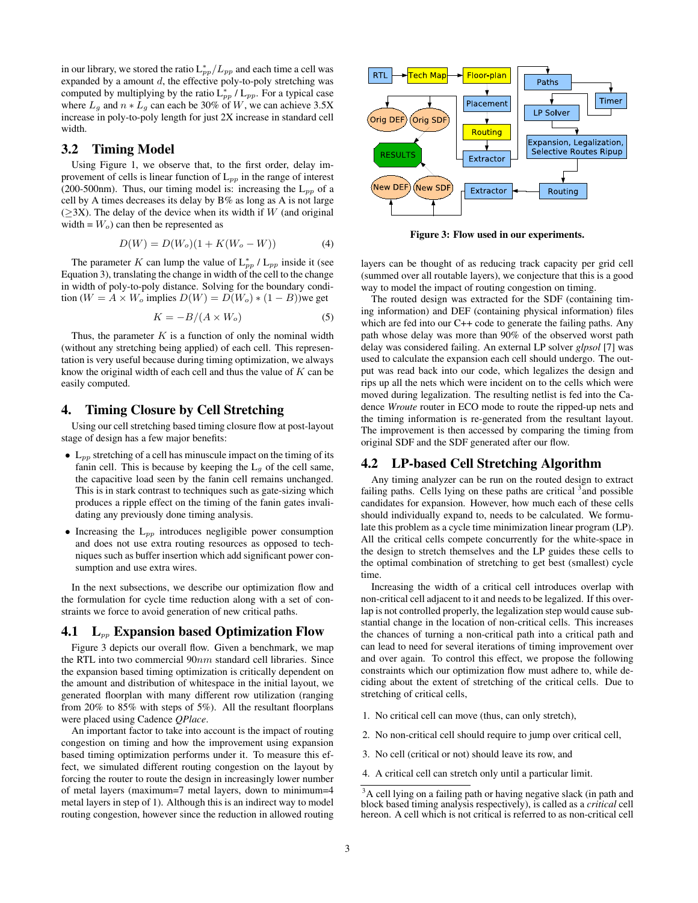in our library, we stored the ratio  $L_{pp}^*/L_{pp}$  and each time a cell was expanded by a amount *d*, the effective poly-to-poly stretching was computed by multiplying by the ratio  $L_{pp}^* / L_{pp}$ . For a typical case<br>where L, and  $p \pm L$ , and goth be 20% of  $W$ , we can ashieve 2.5 Y where  $L_g$  and  $n * L_g$  can each be 30% of W, we can achieve 3.5X increase in poly-to-poly length for just 2X increase in standard cell width.

### **3.2 Timing Model**

Using Figure 1, we observe that, to the first order, delay improvement of cells is linear function of L*pp* in the range of interest (200-500nm). Thus, our timing model is: increasing the  $L_{pp}$  of a cell by A times decreases its delay by B% as long as A is not large  $(\geq 3X)$ . The delay of the device when its width if *W* (and original width =  $W<sub>o</sub>$ ) can then be represented as

$$
D(W) = D(W_o)(1 + K(W_o - W))
$$
 (4)

The parameter *K* can lump the value of  $\frac{L_{pp}^*}{L_{pp}}$  /  $\frac{L_{pp}}{L_{pp}}$  inside it (see Equation 3), translating the change in width of the cell to the change in width of poly-to-poly distance. Solving for the boundary condition ( $W = A \times W_o$  implies  $D(W) = D(W_o) * (1 - B)$ )we get

$$
K = -B/(A \times W_o) \tag{5}
$$

Thus, the parameter  $K$  is a function of only the nominal width (without any stretching being applied) of each cell. This representation is very useful because during timing optimization, we always know the original width of each cell and thus the value of *K* can be easily computed.

#### **4. Timing Closure by Cell Stretching**

Using our cell stretching based timing closure flow at post-layout stage of design has a few major benefits:

- <sup>L</sup>*pp* stretching of a cell has minuscule impact on the timing of its fanin cell. This is because by keeping the L*g* of the cell same, the capacitive load seen by the fanin cell remains unchanged. This is in stark contrast to techniques such as gate-sizing which produces a ripple effect on the timing of the fanin gates invalidating any previously done timing analysis.
- Increasing the L*pp* introduces negligible power consumption and does not use extra routing resources as opposed to techniques such as buffer insertion which add significant power consumption and use extra wires.

In the next subsections, we describe our optimization flow and the formulation for cycle time reduction along with a set of constraints we force to avoid generation of new critical paths.

## **4.1 L***pp* **Expansion based Optimization Flow**

Figure 3 depicts our overall flow. Given a benchmark, we map the RTL into two commercial 90*nm* standard cell libraries. Since the expansion based timing optimization is critically dependent on the amount and distribution of whitespace in the initial layout, we generated floorplan with many different row utilization (ranging from 20% to 85% with steps of 5%). All the resultant floorplans were placed using Cadence *QPlace*.

An important factor to take into account is the impact of routing congestion on timing and how the improvement using expansion based timing optimization performs under it. To measure this effect, we simulated different routing congestion on the layout by forcing the router to route the design in increasingly lower number of metal layers (maximum=7 metal layers, down to minimum=4 metal layers in step of 1). Although this is an indirect way to model routing congestion, however since the reduction in allowed routing



**Figure 3: Flow used in our experiments.**

layers can be thought of as reducing track capacity per grid cell (summed over all routable layers), we conjecture that this is a good way to model the impact of routing congestion on timing.

The routed design was extracted for the SDF (containing timing information) and DEF (containing physical information) files which are fed into our C++ code to generate the failing paths. Any path whose delay was more than 90% of the observed worst path delay was considered failing. An external LP solver *glpsol* [7] was used to calculate the expansion each cell should undergo. The output was read back into our code, which legalizes the design and rips up all the nets which were incident on to the cells which were moved during legalization. The resulting netlist is fed into the Cadence *Wroute* router in ECO mode to route the ripped-up nets and the timing information is re-generated from the resultant layout. The improvement is then accessed by comparing the timing from original SDF and the SDF generated after our flow.

## **4.2 LP-based Cell Stretching Algorithm**

Any timing analyzer can be run on the routed design to extract failing paths. Cells lying on these paths are critical <sup>3</sup> and possible candidates for expansion. However, how much each of these cells should individually expand to, needs to be calculated. We formulate this problem as a cycle time minimization linear program (LP). All the critical cells compete concurrently for the white-space in the design to stretch themselves and the LP guides these cells to the optimal combination of stretching to get best (smallest) cycle time.

Increasing the width of a critical cell introduces overlap with non-critical cell adjacent to it and needs to be legalized. If this overlap is not controlled properly, the legalization step would cause substantial change in the location of non-critical cells. This increases the chances of turning a non-critical path into a critical path and can lead to need for several iterations of timing improvement over and over again. To control this effect, we propose the following constraints which our optimization flow must adhere to, while deciding about the extent of stretching of the critical cells. Due to stretching of critical cells,

- 1. No critical cell can move (thus, can only stretch),
- 2. No non-critical cell should require to jump over critical cell,
- 3. No cell (critical or not) should leave its row, and
- 4. A critical cell can stretch only until a particular limit.

<sup>&</sup>lt;sup>3</sup>A cell lying on a failing path or having negative slack (in path and block based timing analysis respectively), is called as a *critical* cell hereon. A cell which is not critical is referred to as non-critical cell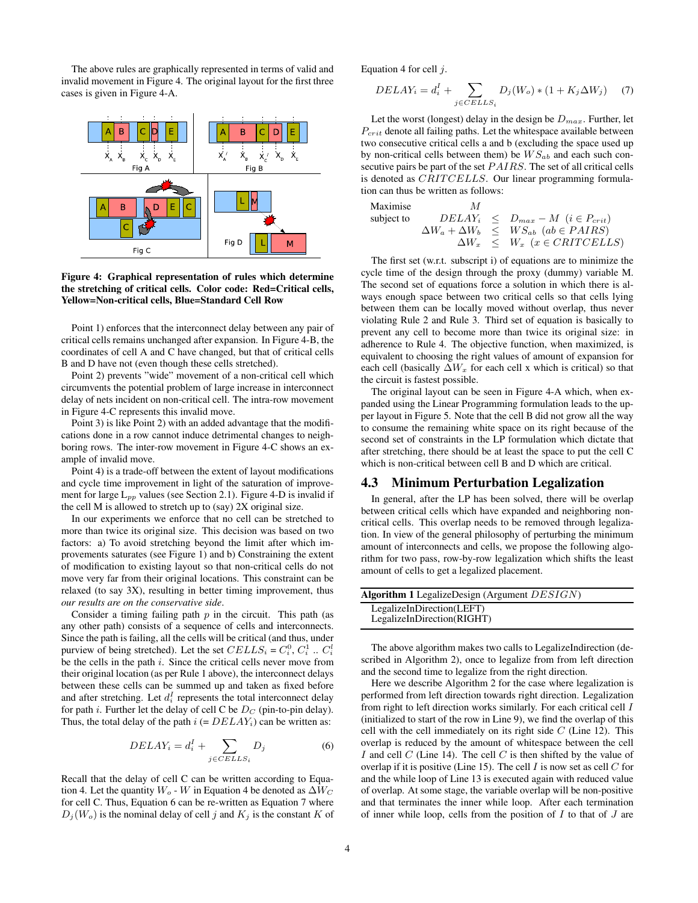The above rules are graphically represented in terms of valid and invalid movement in Figure 4. The original layout for the first three cases is given in Figure 4-A.



#### **Figure 4: Graphical representation of rules which determine the stretching of critical cells. Color code: Red=Critical cells, Yellow=Non-critical cells, Blue=Standard Cell Row**

Point 1) enforces that the interconnect delay between any pair of critical cells remains unchanged after expansion. In Figure 4-B, the coordinates of cell A and C have changed, but that of critical cells B and D have not (even though these cells stretched).

Point 2) prevents "wide" movement of a non-critical cell which circumvents the potential problem of large increase in interconnect delay of nets incident on non-critical cell. The intra-row movement in Figure 4-C represents this invalid move.

Point 3) is like Point 2) with an added advantage that the modifications done in a row cannot induce detrimental changes to neighboring rows. The inter-row movement in Figure 4-C shows an example of invalid move.

Point 4) is a trade-off between the extent of layout modifications and cycle time improvement in light of the saturation of improvement for large L*pp* values (see Section 2.1). Figure 4-D is invalid if the cell M is allowed to stretch up to (say) 2X original size.

In our experiments we enforce that no cell can be stretched to more than twice its original size. This decision was based on two factors: a) To avoid stretching beyond the limit after which improvements saturates (see Figure 1) and b) Constraining the extent of modification to existing layout so that non-critical cells do not move very far from their original locations. This constraint can be relaxed (to say 3X), resulting in better timing improvement, thus *our results are on the conservative side*.

Consider a timing failing path  $p$  in the circuit. This path (as any other path) consists of a sequence of cells and interconnects. Since the path is failing, all the cells will be critical (and thus, under purview of being stretched). Let the set  $CELLS<sub>i</sub> = C<sub>i</sub><sup>0</sup>, C<sub>i</sub><sup>1</sup> ... C<sub>i</sub><sup>l</sup>$ <br>be the calle in the path *i*. Since the critical calle payer move from be the cells in the path *i*. Since the critical cells never move from their original location (as per Rule 1 above), the interconnect delays between these cells can be summed up and taken as fixed before and after stretching. Let  $d_i^I$  represents the total interconnect delay<br>for neth  $\hat{i}$ . Eurther let the delay of call C ha  $D_{\text{c}}$  (pin to nin delay) for path *<sup>i</sup>*. Further let the delay of cell C be *<sup>D</sup>C* (pin-to-pin delay). Thus, the total delay of the path  $i (= DELAY_i)$  can be written as:

$$
DELAY_i = d_i^I + \sum_{j \in CELLS_i} D_j \tag{6}
$$

Recall that the delay of cell C can be written according to Equation 4. Let the quantity  $W_o$  -  $W$  in Equation 4 be denoted as  $\Delta W_C$ for cell C. Thus, Equation 6 can be re-written as Equation 7 where  $D_j(W_o)$  is the nominal delay of cell *j* and  $K_j$  is the constant *K* of

Equation 4 for cell *j*.

$$
DELAY_i = d_i^I + \sum_{j \in CELLS_i} D_j(W_o) * (1 + K_j \Delta W_j) \tag{7}
$$

Let the worst (longest) delay in the design be  $D_{max}$ . Further, let  $P_{crit}$  denote all failing paths. Let the whitespace available between two consecutive critical cells a and b (excluding the space used up by non-critical cells between them) be *W Sab* and each such consecutive pairs be part of the set *P AIRS*. The set of all critical cells is denoted as *CRITCELLS*. Our linear programming formulation can thus be written as follows:

$$
\begin{array}{ll}\n\text{Maximise} & M \\
\text{subject to} & DELAY_i \leq D_{max} - M \ (i \in P_{crit}) \\
& \Delta W_a + \Delta W_b \leq W S_{ab} \ (ab \in PAIRS) \\
& \Delta W_x \leq W_x \ (x \in CRITCELLS)\n\end{array}
$$

The first set (w.r.t. subscript i) of equations are to minimize the cycle time of the design through the proxy (dummy) variable M. The second set of equations force a solution in which there is always enough space between two critical cells so that cells lying between them can be locally moved without overlap, thus never violating Rule 2 and Rule 3. Third set of equation is basically to prevent any cell to become more than twice its original size: in adherence to Rule 4. The objective function, when maximized, is equivalent to choosing the right values of amount of expansion for each cell (basically  $\Delta W_x$  for each cell x which is critical) so that the circuit is fastest possible.

The original layout can be seen in Figure 4-A which, when expanded using the Linear Programming formulation leads to the upper layout in Figure 5. Note that the cell B did not grow all the way to consume the remaining white space on its right because of the second set of constraints in the LP formulation which dictate that after stretching, there should be at least the space to put the cell C which is non-critical between cell B and D which are critical.

#### **4.3 Minimum Perturbation Legalization**

In general, after the LP has been solved, there will be overlap between critical cells which have expanded and neighboring noncritical cells. This overlap needs to be removed through legalization. In view of the general philosophy of perturbing the minimum amount of interconnects and cells, we propose the following algorithm for two pass, row-by-row legalization which shifts the least amount of cells to get a legalized placement.

| <b>Algorithm 1</b> LegalizeDesign (Argument $DESIGN$ )  |  |
|---------------------------------------------------------|--|
| LegalizeInDirection(LEFT)<br>LegalizeInDirection(RIGHT) |  |

The above algorithm makes two calls to LegalizeIndirection (described in Algorithm 2), once to legalize from from left direction and the second time to legalize from the right direction.

Here we describe Algorithm 2 for the case where legalization is performed from left direction towards right direction. Legalization from right to left direction works similarly. For each critical cell *I* (initialized to start of the row in Line 9), we find the overlap of this cell with the cell immediately on its right side *C* (Line 12). This overlap is reduced by the amount of whitespace between the cell *I* and cell *C* (Line 14). The cell *C* is then shifted by the value of overlap if it is positive (Line 15). The cell *I* is now set as cell *C* for and the while loop of Line 13 is executed again with reduced value of overlap. At some stage, the variable overlap will be non-positive and that terminates the inner while loop. After each termination of inner while loop, cells from the position of *I* to that of *J* are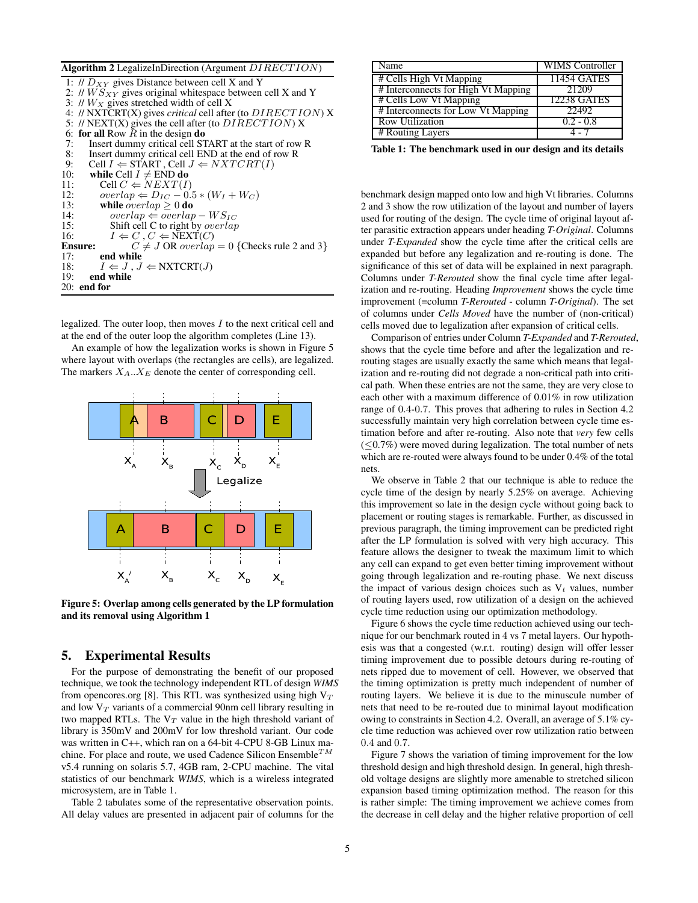**Algorithm 2** LegalizeInDirection (Argument *DIRECT ION*)

| 4: // NXTCRT(X) gives critical cell after (to DIRECTION) X |
|------------------------------------------------------------|
|                                                            |
|                                                            |
|                                                            |
|                                                            |
|                                                            |
|                                                            |
|                                                            |
|                                                            |
|                                                            |
|                                                            |
|                                                            |
|                                                            |
|                                                            |
|                                                            |
|                                                            |
|                                                            |
|                                                            |
| $C \neq J$ OR <i>overlap</i> = 0 {Checks rule 2 and 3}     |

legalized. The outer loop, then moves *I* to the next critical cell and at the end of the outer loop the algorithm completes (Line 13).

An example of how the legalization works is shown in Figure 5 where layout with overlaps (the rectangles are cells), are legalized. The markers  $X_A \cdot X_E$  denote the center of corresponding cell.

![](_page_4_Figure_4.jpeg)

**Figure 5: Overlap among cells generated by the LP formulation and its removal using Algorithm 1**

#### **5. Experimental Results**

For the purpose of demonstrating the benefit of our proposed technique, we took the technology independent RTL of design *WIMS* from opencores.org [8]. This RTL was synthesized using high  $V_T$ and low  $V_T$  variants of a commercial 90nm cell library resulting in two mapped RTLs. The  $V_T$  value in the high threshold variant of library is 350mV and 200mV for low threshold variant. Our code was written in C++, which ran on a 64-bit 4-CPU 8-GB Linux machine. For place and route, we used Cadence Silicon Ensemble*TM* v5.4 running on solaris 5.7, 4GB ram, 2-CPU machine. The vital statistics of our benchmark *WIMS*, which is a wireless integrated microsystem, are in Table 1.

Table 2 tabulates some of the representative observation points. All delay values are presented in adjacent pair of columns for the

| <b>Name</b>                         | WIMS Controller |
|-------------------------------------|-----------------|
| $#$ Cells High Vt Mapping           | 11454 GATES     |
| # Interconnects for High Vt Mapping | 21209           |
| # Cells Low Vt Mapping              | 12238 GATES     |
| # Interconnects for Low Vt Mapping  | 22492           |
| <b>Row Utilization</b>              | $0.2 - 0.8$     |
| # Routing Layers                    |                 |

**Table 1: The benchmark used in our design and its details**

benchmark design mapped onto low and high Vt libraries. Columns 2 and 3 show the row utilization of the layout and number of layers used for routing of the design. The cycle time of original layout after parasitic extraction appears under heading *T-Original*. Columns under *T-Expanded* show the cycle time after the critical cells are expanded but before any legalization and re-routing is done. The significance of this set of data will be explained in next paragraph. Columns under *T-Rerouted* show the final cycle time after legalization and re-routing. Heading *Improvement* shows the cycle time improvement (=column *T-Rerouted* - column *T-Original*). The set of columns under *Cells Moved* have the number of (non-critical) cells moved due to legalization after expansion of critical cells.

Comparison of entries under Column *T-Expanded* and *T-Rerouted*, shows that the cycle time before and after the legalization and rerouting stages are usually exactly the same which means that legalization and re-routing did not degrade a non-critical path into critical path. When these entries are not the same, they are very close to each other with a maximum difference of 0.01% in row utilization range of 0*.*4-0*.*7. This proves that adhering to rules in Section 4.2 successfully maintain very high correlation between cycle time estimation before and after re-routing. Also note that *very* few cells  $(\leq 0.7\%)$  were moved during legalization. The total number of nets which are re-routed were always found to be under 0.4% of the total nets.

We observe in Table 2 that our technique is able to reduce the cycle time of the design by nearly 5.25% on average. Achieving this improvement so late in the design cycle without going back to placement or routing stages is remarkable. Further, as discussed in previous paragraph, the timing improvement can be predicted right after the LP formulation is solved with very high accuracy. This feature allows the designer to tweak the maximum limit to which any cell can expand to get even better timing improvement without going through legalization and re-routing phase. We next discuss the impact of various design choices such as  $V_t$  values, number of routing layers used, row utilization of a design on the achieved cycle time reduction using our optimization methodology.

Figure 6 shows the cycle time reduction achieved using our technique for our benchmark routed in 4 vs 7 metal layers. Our hypothesis was that a congested (w.r.t. routing) design will offer lesser timing improvement due to possible detours during re-routing of nets ripped due to movement of cell. However, we observed that the timing optimization is pretty much independent of number of routing layers. We believe it is due to the minuscule number of nets that need to be re-routed due to minimal layout modification owing to constraints in Section 4.2. Overall, an average of 5.1% cycle time reduction was achieved over row utilization ratio between 0*.*4 and 0*.*7.

Figure 7 shows the variation of timing improvement for the low threshold design and high threshold design. In general, high threshold voltage designs are slightly more amenable to stretched silicon expansion based timing optimization method. The reason for this is rather simple: The timing improvement we achieve comes from the decrease in cell delay and the higher relative proportion of cell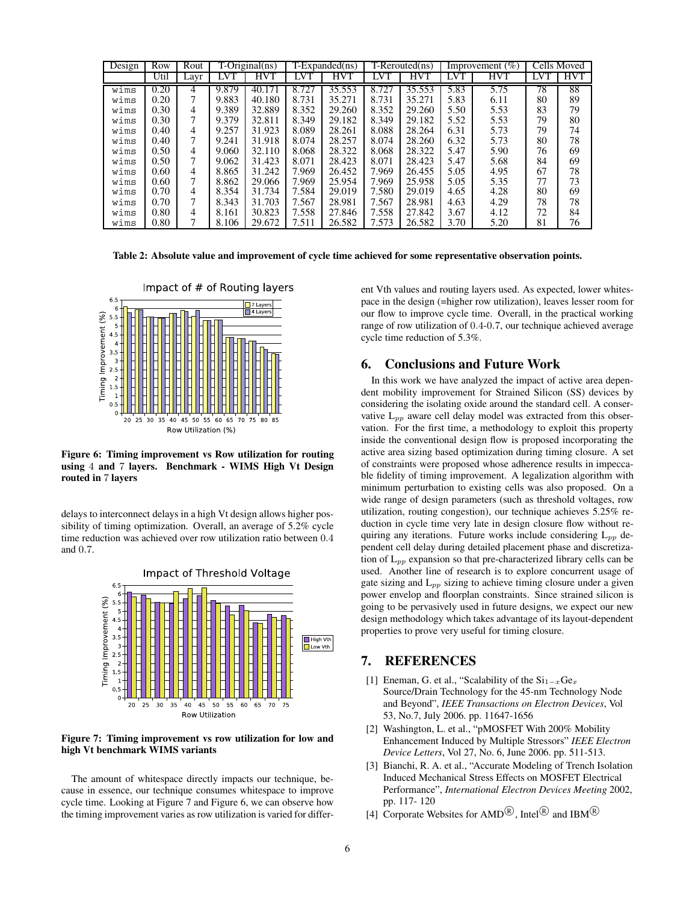| Design | Row  | Rout | $T-Orignal(ns)$ |        | $F\text{-}\mathrm{Expanded}(ns)$ |        | $\Gamma$ -Rerouted $(ns)$ |            | Improvement $(\% )$ |      | Cells Moved |            |
|--------|------|------|-----------------|--------|----------------------------------|--------|---------------------------|------------|---------------------|------|-------------|------------|
|        | Util | Lavr | LVT             | HVT    | LVT                              | HVT    | LVT                       | <b>HVT</b> | LVI                 | HVT  | LV I        | <b>HVT</b> |
| wims   | 0.20 | 4    | 9.879           | 40.    | 8.727                            | 35.553 | 8.727                     | 35.553     | 5.83                | 5.75 | 78          | 88         |
| wims   | 0.20 |      | 9.883           | 40.180 | 8.731                            | 35.271 | 8.731                     | 35.271     | 5.83                | 6.11 | 80          | 89         |
| wims   | 0.30 | 4    | 9.389           | 32.889 | 8.352                            | 29.260 | 8.352                     | 29.260     | 5.50                | 5.53 | 83          | 79         |
| wims   | 0.30 | 7    | 9.379           | 32.811 | 8.349                            | 29.182 | 8.349                     | 29.182     | 5.52                | 5.53 | 79          | 80         |
| wims   | 0.40 | 4    | 9.257           | 31.923 | 8.089                            | 28.261 | 8.088                     | 28.264     | 6.31                | 5.73 | 79          | 74         |
| wims   | 0.40 | 7    | 9.241           | 31.918 | 8.074                            | 28.257 | 8.074                     | 28.260     | 6.32                | 5.73 | 80          | 78         |
| wims   | 0.50 | 4    | 9.060           | 32.110 | 8.068                            | 28.322 | 8.068                     | 28.322     | 5.47                | 5.90 | 76          | 69         |
| wims   | 0.50 | 7    | 9.062           | 31.423 | 8.071                            | 28.423 | 8.071                     | 28.423     | 5.47                | 5.68 | 84          | 69         |
| wims   | 0.60 | 4    | 8.865           | 31.242 | 7.969                            | 26.452 | 7.969                     | 26.455     | 5.05                | 4.95 | 67          | 78         |
| wims   | 0.60 | 7    | 8.862           | 29.066 | 7.969                            | 25.954 | 7.969                     | 25.958     | 5.05                | 5.35 | 77          | 73         |
| wims   | 0.70 | 4    | 8.354           | 31.734 | 7.584                            | 29.019 | 7.580                     | 29.019     | 4.65                | 4.28 | 80          | 69         |
| wims   | 0.70 |      | 8.343           | 31.703 | 7.567                            | 28.981 | 7.567                     | 28.981     | 4.63                | 4.29 | 78          | 78         |
| wims   | 0.80 | 4    | 8.161           | 30.823 | 7.558                            | 27.846 | 7.558                     | 27.842     | 3.67                | 4.12 | 72          | 84         |
| wims   | 0.80 |      | 8.106           | 29.672 | 7.511                            | 26.582 | 7.573                     | 26.582     | 3.70                | 5.20 | 81          | 76         |

**Table 2: Absolute value and improvement of cycle time achieved for some representative observation points.**

![](_page_5_Figure_2.jpeg)

**Figure 6: Timing improvement vs Row utilization for routing using** 4 **and** 7 **layers. Benchmark - WIMS High Vt Design routed in** 7 **layers**

delays to interconnect delays in a high Vt design allows higher possibility of timing optimization. Overall, an average of 5.2% cycle time reduction was achieved over row utilization ratio between 0*.*4 and 0*.*7.

![](_page_5_Figure_5.jpeg)

#### **Figure 7: Timing improvement vs row utilization for low and high Vt benchmark WIMS variants**

The amount of whitespace directly impacts our technique, because in essence, our technique consumes whitespace to improve cycle time. Looking at Figure 7 and Figure 6, we can observe how the timing improvement varies as row utilization is varied for different Vth values and routing layers used. As expected, lower whitespace in the design (=higher row utilization), leaves lesser room for our flow to improve cycle time. Overall, in the practical working range of row utilization of 0*.*4-0*.*7, our technique achieved average cycle time reduction of 5.3%.

#### **6. Conclusions and Future Work**

In this work we have analyzed the impact of active area dependent mobility improvement for Strained Silicon (SS) devices by considering the isolating oxide around the standard cell. A conservative L*pp* aware cell delay model was extracted from this observation. For the first time, a methodology to exploit this property inside the conventional design flow is proposed incorporating the active area sizing based optimization during timing closure. A set of constraints were proposed whose adherence results in impeccable fidelity of timing improvement. A legalization algorithm with minimum perturbation to existing cells was also proposed. On a wide range of design parameters (such as threshold voltages, row utilization, routing congestion), our technique achieves 5.25% reduction in cycle time very late in design closure flow without requiring any iterations. Future works include considering  $L_{pp}$  dependent cell delay during detailed placement phase and discretization of L*pp* expansion so that pre-characterized library cells can be used. Another line of research is to explore concurrent usage of gate sizing and L*pp* sizing to achieve timing closure under a given power envelop and floorplan constraints. Since strained silicon is going to be pervasively used in future designs, we expect our new design methodology which takes advantage of its layout-dependent properties to prove very useful for timing closure.

# **7. REFERENCES**

- [1] Eneman, G. et al., "Scalability of the Si<sup>1</sup>−*x*Ge*x* Source/Drain Technology for the 45-nm Technology Node and Beyond", *IEEE Transactions on Electron Devices*, Vol 53, No.7, July 2006. pp. 11647-1656
- [2] Washington, L. et al., "pMOSFET With 200% Mobility Enhancement Induced by Multiple Stressors" *IEEE Electron Device Letters*, Vol 27, No. 6, June 2006. pp. 511-513.
- [3] Bianchi, R. A. et al., "Accurate Modeling of Trench Isolation Induced Mechanical Stress Effects on MOSFET Electrical Performance", *International Electron Devices Meeting* 2002, pp. 117- 120
- [4] Corporate Websites for  $\text{AMD}^{\textcircledR}$ , Intel<sup>®</sup> and IBM<sup>®</sup>